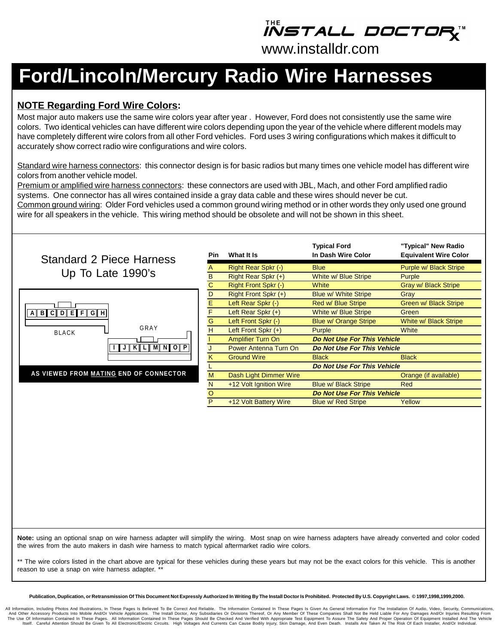*iistall doctor* 

www.installdr.com

# **Ford/Lincoln/Mercury Radio Wire Harnesses**

### **NOTE Regarding Ford Wire Colors:**

Most major auto makers use the same wire colors year after year . However, Ford does not consistently use the same wire colors. Two identical vehicles can have different wire colors depending upon the year of the vehicle where different models may have completely different wire colors from all other Ford vehicles. Ford uses 3 wiring configurations which makes it difficult to accurately show correct radio wire configurations and wire colors.

Standard wire harness connectors: this connector design is for basic radios but many times one vehicle model has different wire colors from another vehicle model.

Premium or amplified wire harness connectors: these connectors are used with JBL, Mach, and other Ford amplified radio systems. One connector has all wires contained inside a gray data cable and these wires should never be cut. Common ground wiring: Older Ford vehicles used a common ground wiring method or in other words they only used one ground wire for all speakers in the vehicle. This wiring method should be obsolete and will not be shown in this sheet.



**Note:** using an optional snap on wire harness adapter will simplify the wiring. Most snap on wire harness adapters have already converted and color coded the wires from the auto makers in dash wire harness to match typical aftermarket radio wire colors.

\*\* The wire colors listed in the chart above are typical for these vehicles during these years but may not be the exact colors for this vehicle. This is another reason to use a snap on wire harness adapter. \*\*

**Publication, Duplication, or Retransmission Of This Document Not Expressly Authorized In Writing By The Install Doctor Is Prohibited. Protected By U.S. Copyright Laws. © 1997,1998,1999,2000.**

All Information, Including Photos And Illustrations, In These Pages Is Believed To Be Correct And Reliable. The Information Contained In These Pages Is Given As General Information For The Installation Of Audio, Video, Sec